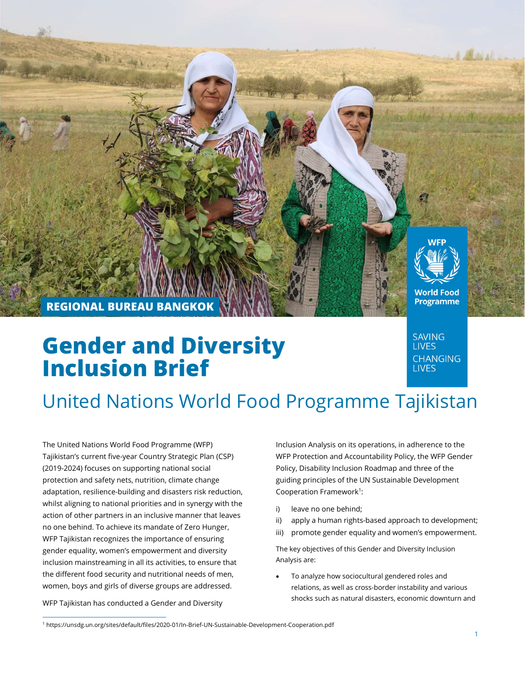

# Gender and Diversity Inclusion Brief

**SAVING LIVES CHANGING LIVES** 

# United Nations World Food Programme Tajikistan

The United Nations World Food Programme (WFP) Tajikistan's current five-year Country Strategic Plan (CSP) (2019-2024) focuses on supporting national social protection and safety nets, nutrition, climate change adaptation, resilience-building and disasters risk reduction, whilst aligning to national priorities and in synergy with the action of other partners in an inclusive manner that leaves no one behind. To achieve its mandate of Zero Hunger, WFP Tajikistan recognizes the importance of ensuring gender equality, women's empowerment and diversity inclusion mainstreaming in all its activities, to ensure that the different food security and nutritional needs of men, women, boys and girls of diverse groups are addressed.

WFP Tajikistan has conducted a Gender and Diversity

Inclusion Analysis on its operations, in adherence to the WFP Protection and Accountability Policy, the WFP Gender Policy, Disability Inclusion Roadmap and three of the guiding principles of the UN Sustainable Development Cooperation Framework<sup>1</sup>:

- i) leave no one behind;
- ii) apply a human rights-based approach to development;
- iii) promote gender equality and women's empowerment.

The key objectives of this Gender and Diversity Inclusion Analysis are:

 To analyze how sociocultural gendered roles and relations, as well as cross-border instability and various shocks such as natural disasters, economic downturn and

<sup>1</sup> https://unsdg.un.org/sites/default/files/2020-01/In-Brief-UN-Sustainable-Development-Cooperation.pdf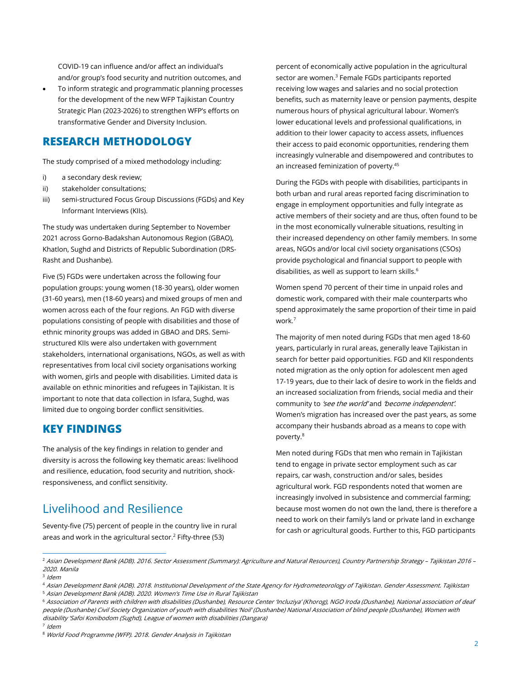COVID-19 can influence and/or affect an individual's and/or group's food security and nutrition outcomes, and

 To inform strategic and programmatic planning processes for the development of the new WFP Tajikistan Country Strategic Plan (2023-2026) to strengthen WFP's efforts on transformative Gender and Diversity Inclusion.

## RESEARCH METHODOLOGY

The study comprised of a mixed methodology including:

- i) a secondary desk review;
- ii) stakeholder consultations;
- iii) semi-structured Focus Group Discussions (FGDs) and Key Informant Interviews (KIIs).

The study was undertaken during September to November 2021 across Gorno-Badakshan Autonomous Region (GBAO), Khatlon, Sughd and Districts of Republic Subordination (DRS-Rasht and Dushanbe).

Five (5) FGDs were undertaken across the following four population groups: young women (18-30 years), older women (31-60 years), men (18-60 years) and mixed groups of men and women across each of the four regions. An FGD with diverse populations consisting of people with disabilities and those of ethnic minority groups was added in GBAO and DRS. Semistructured KIIs were also undertaken with government stakeholders, international organisations, NGOs, as well as with representatives from local civil society organisations working with women, girls and people with disabilities. Limited data is available on ethnic minorities and refugees in Tajikistan. It is important to note that data collection in Isfara, Sughd, was limited due to ongoing border conflict sensitivities.

## KEY FINDINGS

The analysis of the key findings in relation to gender and diversity is across the following key thematic areas: livelihood and resilience, education, food security and nutrition, shockresponsiveness, and conflict sensitivity.

# Livelihood and Resilience

Seventy-five (75) percent of people in the country live in rural areas and work in the agricultural sector. $2$  Fifty-three (53)

percent of economically active population in the agricultural sector are women.<sup>3</sup> Female FGDs participants reported receiving low wages and salaries and no social protection benefits, such as maternity leave or pension payments, despite numerous hours of physical agricultural labour. Women's lower educational levels and professional qualifications, in addition to their lower capacity to access assets, influences their access to paid economic opportunities, rendering them increasingly vulnerable and disempowered and contributes to an increased feminization of poverty.<sup>45</sup>

During the FGDs with people with disabilities, participants in both urban and rural areas reported facing discrimination to engage in employment opportunities and fully integrate as active members of their society and are thus, often found to be in the most economically vulnerable situations, resulting in their increased dependency on other family members. In some areas, NGOs and/or local civil society organisations (CSOs) provide psychological and financial support to people with disabilities, as well as support to learn skills.<sup>6</sup>

Women spend 70 percent of their time in unpaid roles and domestic work, compared with their male counterparts who spend approximately the same proportion of their time in paid work.<sup>7</sup>

The majority of men noted during FGDs that men aged 18-60 years, particularly in rural areas, generally leave Tajikistan in search for better paid opportunities. FGD and KII respondents noted migration as the only option for adolescent men aged 17-19 years, due to their lack of desire to work in the fields and an increased socialization from friends, social media and their community to 'see the world' and 'become independent'. Women's migration has increased over the past years, as some accompany their husbands abroad as a means to cope with poverty.<sup>8</sup>

Men noted during FGDs that men who remain in Tajikistan tend to engage in private sector employment such as car repairs, car wash, construction and/or sales, besides agricultural work. FGD respondents noted that women are increasingly involved in subsistence and commercial farming; because most women do not own the land, there is therefore a need to work on their family's land or private land in exchange for cash or agricultural goods. Further to this, FGD participants

6 Association of Parents with children with disabilities (Dushanbe), Resource Center 'Incluziya' (Khorog), NGO Iroda (Dushanbe), National association of deaf people (Dushanbe) Civil Society Organization of youth with disabilities 'Noil' (Dushanbe) National Association of blind people (Dushanbe), Women with disability 'Safoi Konibodom (Sughd), League of women with disabilities (Dangara) 7 Idem

<sup>2</sup> Asian Development Bank (ADB). 2016. Sector Assessment (Summary): Agriculture and Natural Resources), Country Partnership Strategy – Tajikistan 2016 – 2020. Manila

<sup>3</sup> Idem

<sup>4</sup> Asian Development Bank (ADB). 2018. Institutional Development of the State Agency for Hydrometeorology of Tajikistan. Gender Assessment. Tajikistan <sup>5</sup> Asian Development Bank (ADB). 2020. Women's Time Use in Rural Tajikistan

<sup>8</sup> World Food Programme (WFP). 2018. Gender Analysis in Tajikistan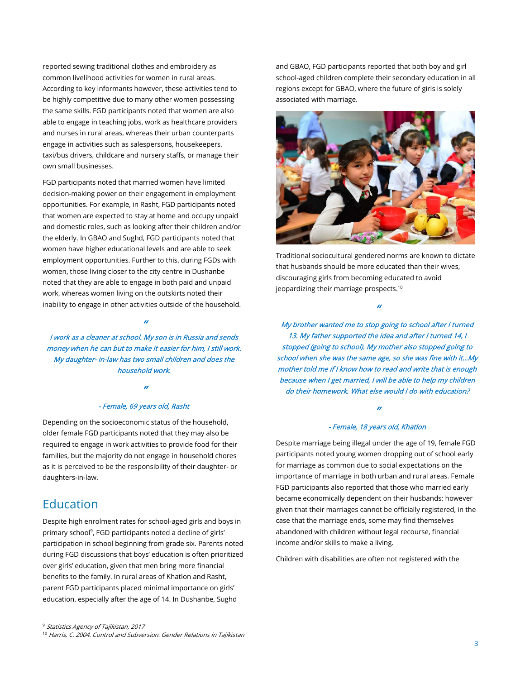reported sewing traditional clothes and embroidery as common livelihood activities for women in rural areas. According to key informants however, these activities tend to be highly competitive due to many other women possessing the same skills. FGD participants noted that women are also able to engage in teaching jobs, work as healthcare providers and nurses in rural areas, whereas their urban counterparts engage in activities such as salespersons, housekeepers, taxi/bus drivers, childcare and nursery staffs, or manage their own small businesses.

FGD participants noted that married women have limited decision-making power on their engagement in employment opportunities. For example, in Rasht, FGD participants noted that women are expected to stay at home and occupy unpaid and domestic roles, such as looking after their children and/or the elderly. In GBAO and Sughd, FGD participants noted that women have higher educational levels and are able to seek employment opportunities. Further to this, during FGDs with women, those living closer to the city centre in Dushanbe noted that they are able to engage in both paid and unpaid work, whereas women living on the outskirts noted their inability to engage in other activities outside of the household.

I work as a cleaner at school. My son is in Russia and sends money when he can but to make it easier for him, I still work. My daughter- in-law has two small children and does the household work.

"

#### "

#### - Female, 69 years old, Rasht

Depending on the socioeconomic status of the household, older female FGD participants noted that they may also be required to engage in work activities to provide food for their families, but the majority do not engage in household chores as it is perceived to be the responsibility of their daughter- or daughters-in-law.

## Education

Despite high enrolment rates for school-aged girls and boys in primary school<sup>9</sup>, FGD participants noted a decline of girls' participation in school beginning from grade six. Parents noted during FGD discussions that boys' education is often prioritized over girls' education, given that men bring more financial benefits to the family. In rural areas of Khatlon and Rasht, parent FGD participants placed minimal importance on girls' education, especially after the age of 14. In Dushanbe, Sughd

and GBAO, FGD participants reported that both boy and girl school-aged children complete their secondary education in all regions except for GBAO, where the future of girls is solely associated with marriage.



Traditional sociocultural gendered norms are known to dictate that husbands should be more educated than their wives, discouraging girls from becoming educated to avoid jeopardizing their marriage prospects.<sup>10</sup>

"

My brother wanted me to stop going to school after I turned 13. My father supported the idea and after I turned 14, I stopped (going to school). My mother also stopped going to school when she was the same age, so she was fine with it…My mother told me if I know how to read and write that is enough because when I get married, I will be able to help my children do their homework. What else would I do with education?

### " - Female, 18 years old, Khatlon

Despite marriage being illegal under the age of 19, female FGD participants noted young women dropping out of school early for marriage as common due to social expectations on the importance of marriage in both urban and rural areas. Female FGD participants also reported that those who married early became economically dependent on their husbands; however given that their marriages cannot be officially registered, in the case that the marriage ends, some may find themselves abandoned with children without legal recourse, financial income and/or skills to make a living.

Children with disabilities are often not registered with the

<sup>&</sup>lt;sup>9</sup> Statistics Agency of Tajikistan, 2017

<sup>&</sup>lt;sup>10</sup> Harris, C. 2004. Control and Subversion: Gender Relations in Tajikistan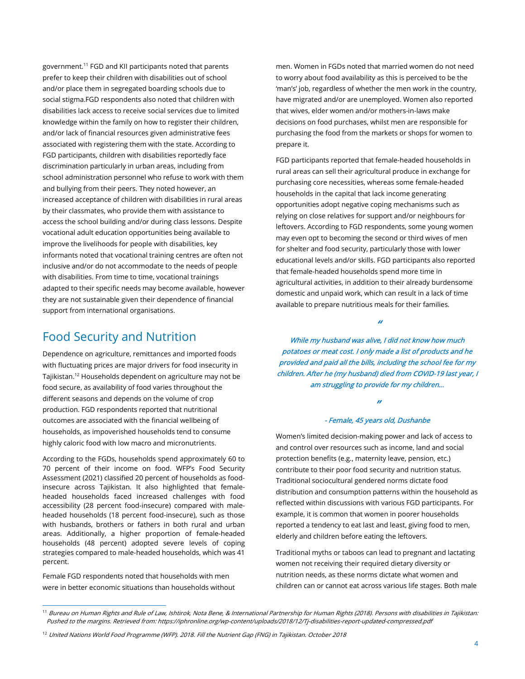government.<sup>11</sup> FGD and KII participants noted that parents prefer to keep their children with disabilities out of school and/or place them in segregated boarding schools due to social stigma.FGD respondents also noted that children with disabilities lack access to receive social services due to limited knowledge within the family on how to register their children, and/or lack of financial resources given administrative fees associated with registering them with the state. According to FGD participants, children with disabilities reportedly face discrimination particularly in urban areas, including from school administration personnel who refuse to work with them and bullying from their peers. They noted however, an increased acceptance of children with disabilities in rural areas by their classmates, who provide them with assistance to access the school building and/or during class lessons. Despite vocational adult education opportunities being available to improve the livelihoods for people with disabilities, key informants noted that vocational training centres are often not inclusive and/or do not accommodate to the needs of people with disabilities. From time to time, vocational trainings adapted to their specific needs may become available, however they are not sustainable given their dependence of financial support from international organisations.

# Food Security and Nutrition

Dependence on agriculture, remittances and imported foods with fluctuating prices are major drivers for food insecurity in Tajikistan.<sup>12</sup> Households dependent on agriculture may not be food secure, as availability of food varies throughout the different seasons and depends on the volume of crop production. FGD respondents reported that nutritional outcomes are associated with the financial wellbeing of households, as impoverished households tend to consume highly caloric food with low macro and micronutrients.

According to the FGDs, households spend approximately 60 to 70 percent of their income on food. WFP's Food Security Assessment (2021) classified 20 percent of households as foodinsecure across Tajikistan. It also highlighted that femaleheaded households faced increased challenges with food accessibility (28 percent food-insecure) compared with maleheaded households (18 percent food-insecure), such as those with husbands, brothers or fathers in both rural and urban areas. Additionally, a higher proportion of female-headed households (48 percent) adopted severe levels of coping strategies compared to male-headed households, which was 41 percent.

Female FGD respondents noted that households with men were in better economic situations than households without men. Women in FGDs noted that married women do not need to worry about food availability as this is perceived to be the 'man's' job, regardless of whether the men work in the country, have migrated and/or are unemployed. Women also reported that wives, elder women and/or mothers-in-laws make decisions on food purchases, whilst men are responsible for purchasing the food from the markets or shops for women to prepare it.

FGD participants reported that female-headed households in rural areas can sell their agricultural produce in exchange for purchasing core necessities, whereas some female-headed households in the capital that lack income generating opportunities adopt negative coping mechanisms such as relying on close relatives for support and/or neighbours for leftovers. According to FGD respondents, some young women may even opt to becoming the second or third wives of men for shelter and food security, particularly those with lower educational levels and/or skills. FGD participants also reported that female-headed households spend more time in agricultural activities, in addition to their already burdensome domestic and unpaid work, which can result in a lack of time available to prepare nutritious meals for their families.

"

While my husband was alive, I did not know how much potatoes or meat cost. I only made a list of products and he provided and paid all the bills, including the school fee for my children. After he (my husband) died from COVID-19 last year, I am struggling to provide for my children…

#### "

#### - Female, 45 years old, Dushanbe

Women's limited decision-making power and lack of access to and control over resources such as income, land and social protection benefits (e.g., maternity leave, pension, etc.) contribute to their poor food security and nutrition status. Traditional sociocultural gendered norms dictate food distribution and consumption patterns within the household as reflected within discussions with various FGD participants. For example, it is common that women in poorer households reported a tendency to eat last and least, giving food to men, elderly and children before eating the leftovers.

Traditional myths or taboos can lead to pregnant and lactating women not receiving their required dietary diversity or nutrition needs, as these norms dictate what women and children can or cannot eat across various life stages. Both male

<sup>11</sup> Bureau on Human Rights and Rule of Law, Ishtirok, Nota Bene, & International Partnership for Human Rights (2018). Persons with disabilities in Tajikistan: Pushed to the margins. Retrieved from: https://iphronline.org/wp-content/uploads/2018/12/Tj-disabilities-report-updated-compressed.pdf

<sup>&</sup>lt;sup>12</sup> United Nations World Food Programme (WFP). 2018. Fill the Nutrient Gap (FNG) in Tajikistan. October 2018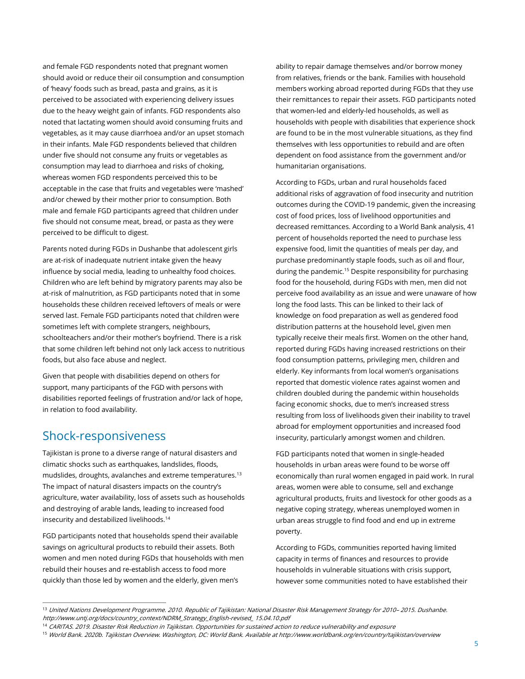and female FGD respondents noted that pregnant women should avoid or reduce their oil consumption and consumption of 'heavy' foods such as bread, pasta and grains, as it is perceived to be associated with experiencing delivery issues due to the heavy weight gain of infants. FGD respondents also noted that lactating women should avoid consuming fruits and vegetables, as it may cause diarrhoea and/or an upset stomach in their infants. Male FGD respondents believed that children under five should not consume any fruits or vegetables as consumption may lead to diarrhoea and risks of choking, whereas women FGD respondents perceived this to be acceptable in the case that fruits and vegetables were 'mashed' and/or chewed by their mother prior to consumption. Both male and female FGD participants agreed that children under five should not consume meat, bread, or pasta as they were perceived to be difficult to digest.

Parents noted during FGDs in Dushanbe that adolescent girls are at-risk of inadequate nutrient intake given the heavy influence by social media, leading to unhealthy food choices. Children who are left behind by migratory parents may also be at-risk of malnutrition, as FGD participants noted that in some households these children received leftovers of meals or were served last. Female FGD participants noted that children were sometimes left with complete strangers, neighbours, schoolteachers and/or their mother's boyfriend. There is a risk that some children left behind not only lack access to nutritious foods, but also face abuse and neglect.

Given that people with disabilities depend on others for support, many participants of the FGD with persons with disabilities reported feelings of frustration and/or lack of hope, in relation to food availability.

## Shock-responsiveness

Tajikistan is prone to a diverse range of natural disasters and climatic shocks such as earthquakes, landslides, floods, mudslides, droughts, avalanches and extreme temperatures.<sup>13</sup> The impact of natural disasters impacts on the country's agriculture, water availability, loss of assets such as households and destroying of arable lands, leading to increased food insecurity and destabilized livelihoods.<sup>14</sup>

FGD participants noted that households spend their available savings on agricultural products to rebuild their assets. Both women and men noted during FGDs that households with men rebuild their houses and re-establish access to food more quickly than those led by women and the elderly, given men's

ability to repair damage themselves and/or borrow money from relatives, friends or the bank. Families with household members working abroad reported during FGDs that they use their remittances to repair their assets. FGD participants noted that women-led and elderly-led households, as well as households with people with disabilities that experience shock are found to be in the most vulnerable situations, as they find themselves with less opportunities to rebuild and are often dependent on food assistance from the government and/or humanitarian organisations.

According to FGDs, urban and rural households faced additional risks of aggravation of food insecurity and nutrition outcomes during the COVID-19 pandemic, given the increasing cost of food prices, loss of livelihood opportunities and decreased remittances. According to a World Bank analysis, 41 percent of households reported the need to purchase less expensive food, limit the quantities of meals per day, and purchase predominantly staple foods, such as oil and flour, during the pandemic.<sup>15</sup> Despite responsibility for purchasing food for the household, during FGDs with men, men did not perceive food availability as an issue and were unaware of how long the food lasts. This can be linked to their lack of knowledge on food preparation as well as gendered food distribution patterns at the household level, given men typically receive their meals first. Women on the other hand, reported during FGDs having increased restrictions on their food consumption patterns, privileging men, children and elderly. Key informants from local women's organisations reported that domestic violence rates against women and children doubled during the pandemic within households facing economic shocks, due to men's increased stress resulting from loss of livelihoods given their inability to travel abroad for employment opportunities and increased food insecurity, particularly amongst women and children.

FGD participants noted that women in single-headed households in urban areas were found to be worse off economically than rural women engaged in paid work. In rural areas, women were able to consume, sell and exchange agricultural products, fruits and livestock for other goods as a negative coping strategy, whereas unemployed women in urban areas struggle to find food and end up in extreme poverty.

According to FGDs, communities reported having limited capacity in terms of finances and resources to provide households in vulnerable situations with crisis support, however some communities noted to have established their

<sup>13</sup> United Nations Development Programme. 2010. Republic of Tajikistan: National Disaster Risk Management Strategy for 2010– 2015. Dushanbe. http://www.untj.org/docs/country\_context/NDRM\_Strategy\_English-revised\_ 15.04.10.pdf

<sup>&</sup>lt;sup>14</sup> CARITAS. 2019. Disaster Risk Reduction in Tajikistan. Opportunities for sustained action to reduce vulnerability and exposure

<sup>15</sup> World Bank. 2020b. Tajikistan Overview. Washington, DC: World Bank. Available at http://www.worldbank.org/en/country/tajikistan/overview